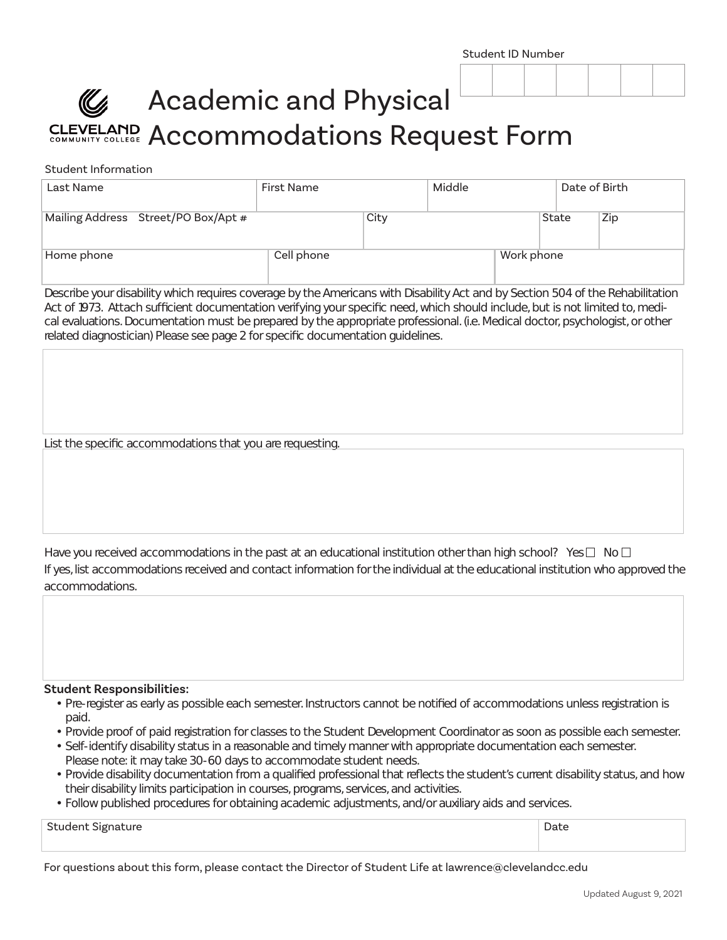# Academic and Physical CLEVELAND Accommodations Request Form

### Student Information

| Last Name                           | <b>First Name</b> |      | Middle |            | Date of Birth |     |
|-------------------------------------|-------------------|------|--------|------------|---------------|-----|
| Mailing Address Street/PO Box/Apt # |                   | City |        |            | <b>State</b>  | Zip |
| Home phone                          | Cell phone        |      |        | Work phone |               |     |

Describe your disability which requires coverage by the Americans with Disability Act and by Section 504 of the Rehabilitation Act of 1973. Attach sufficient documentation verifying your specific need, which should include, but is not limited to, medical evaluations. Documentation must be prepared by the appropriate professional. (i.e. Medical doctor, psychologist, or other related diagnostician) Please see page 2 for specific documentation guidelines.

List the specific accommodations that you are requesting.

If yes, list accommodations received and contact information for the individual at the educational institution who approved the accommodations. Have you received accommodations in the past at an educational institution other than high school? Yes  $\Box$  No  $\Box$ 

#### **Student Responsibilities:**

- Pre-register as early as possible each semester. Instructors cannot be notified of accommodations unless registration is paid.
- Provide proof of paid registration for classes to the Student Development Coordinator as soon as possible each semester.
- Self-identify disability status in a reasonable and timely manner with appropriate documentation each semester. Please note: it may take 30-60 days to accommodate student needs.
- Provide disability documentation from a qualified professional that reflects the student's current disability status, and how their disability limits participation in courses, programs, services, and activities.
- Follow published procedures for obtaining academic adjustments, and/or auxiliary aids and services.

| <b>Student Signature</b><br>. <del>.</del> . | Date |
|----------------------------------------------|------|
|                                              |      |

For questions about this form, please contact the Director of Student Life at lawrence@clevelandcc.edu